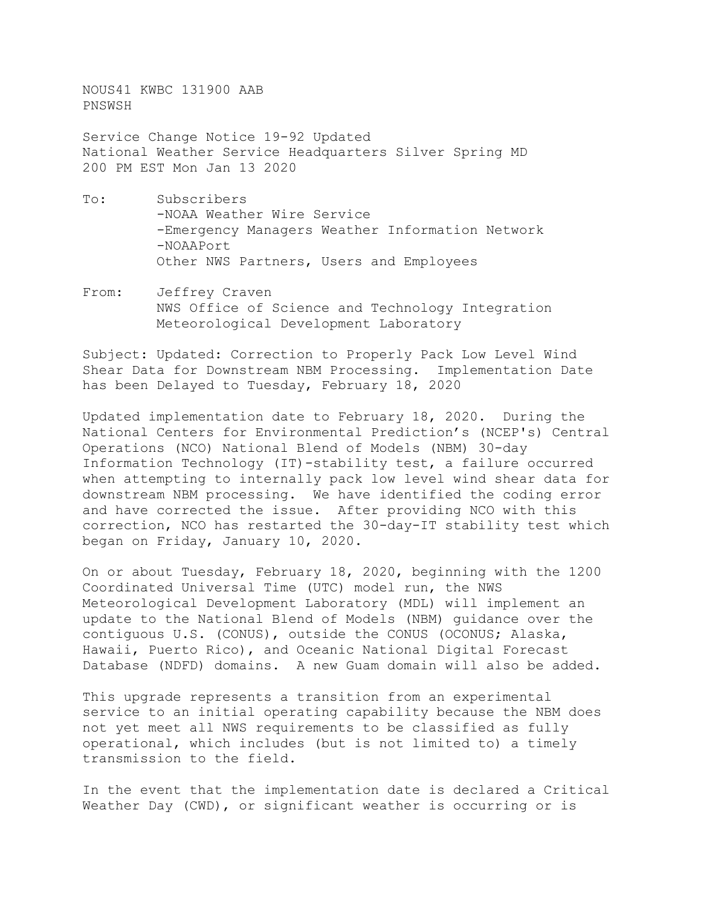NOUS41 KWBC 131900 AAB PNSWSH

Service Change Notice 19-92 Updated National Weather Service Headquarters Silver Spring MD 200 PM EST Mon Jan 13 2020

- To: Subscribers -NOAA Weather Wire Service -Emergency Managers Weather Information Network -NOAAPort Other NWS Partners, Users and Employees
- From: Jeffrey Craven NWS Office of Science and Technology Integration Meteorological Development Laboratory

Subject: Updated: Correction to Properly Pack Low Level Wind Shear Data for Downstream NBM Processing. Implementation Date has been Delayed to Tuesday, February 18, 2020

Updated implementation date to February 18, 2020. During the National Centers for Environmental Prediction's (NCEP's) Central Operations (NCO) National Blend of Models (NBM) 30-day Information Technology (IT)-stability test, a failure occurred when attempting to internally pack low level wind shear data for downstream NBM processing. We have identified the coding error and have corrected the issue. After providing NCO with this correction, NCO has restarted the 30-day-IT stability test which began on Friday, January 10, 2020.

On or about Tuesday, February 18, 2020, beginning with the 1200 Coordinated Universal Time (UTC) model run, the NWS Meteorological Development Laboratory (MDL) will implement an update to the National Blend of Models (NBM) guidance over the contiguous U.S. (CONUS), outside the CONUS (OCONUS; Alaska, Hawaii, Puerto Rico), and Oceanic National Digital Forecast Database (NDFD) domains. A new Guam domain will also be added.

This upgrade represents a transition from an experimental service to an initial operating capability because the NBM does not yet meet all NWS requirements to be classified as fully operational, which includes (but is not limited to) a timely transmission to the field.

In the event that the implementation date is declared a Critical Weather Day (CWD), or significant weather is occurring or is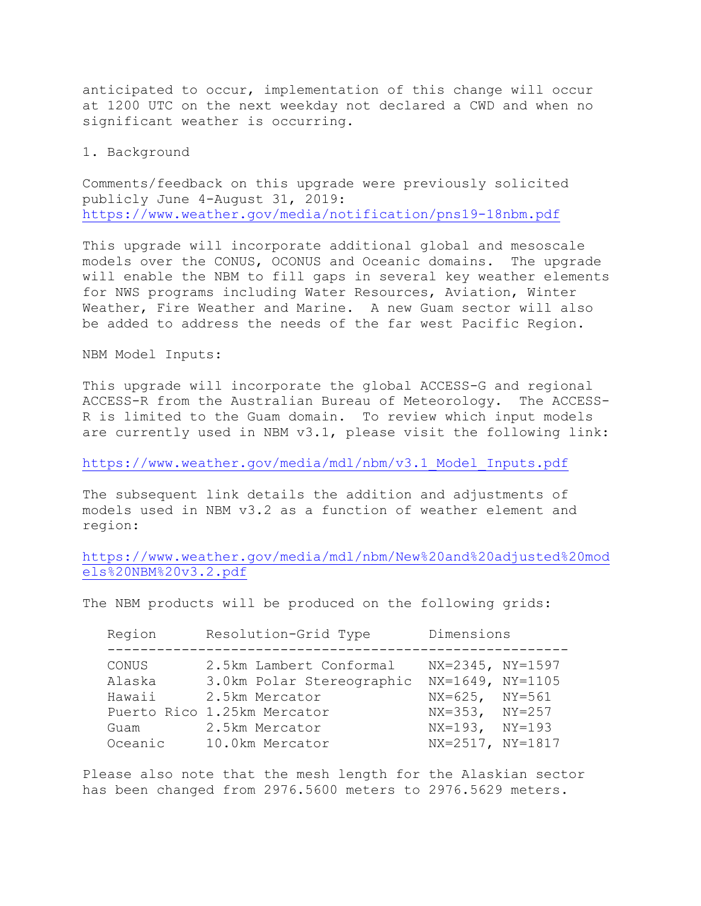anticipated to occur, implementation of this change will occur at 1200 UTC on the next weekday not declared a CWD and when no significant weather is occurring.

## 1. Background

Comments/feedback on this upgrade were previously solicited publicly June 4-August 31, 2019: <https://www.weather.gov/media/notification/pns19-18nbm.pdf>

This upgrade will incorporate additional global and mesoscale models over the CONUS, OCONUS and Oceanic domains. The upgrade will enable the NBM to fill gaps in several key weather elements for NWS programs including Water Resources, Aviation, Winter Weather, Fire Weather and Marine. A new Guam sector will also be added to address the needs of the far west Pacific Region.

NBM Model Inputs:

This upgrade will incorporate the global ACCESS-G and regional ACCESS-R from the Australian Bureau of Meteorology. The ACCESS-R is limited to the Guam domain. To review which input models are currently used in NBM v3.1, please visit the following link:

[https://www.weather.gov/media/mdl/nbm/v3.1\\_Model\\_Inputs.pdf](https://www.weather.gov/media/mdl/nbm/v3.1_Model_Inputs.pdf)

The subsequent link details the addition and adjustments of models used in NBM v3.2 as a function of weather element and region:

[https://www.weather.gov/media/mdl/nbm/New%20and%20adjusted%20mod](https://www.weather.gov/media/mdl/nbm/New%20and%20adjusted%20models%20NBM%20v3.2.pdf) [els%20NBM%20v3.2.pdf](https://www.weather.gov/media/mdl/nbm/New%20and%20adjusted%20models%20NBM%20v3.2.pdf)

The NBM products will be produced on the following grids:

| Region  | Resolution-Grid Type                          | Dimensions                                 |
|---------|-----------------------------------------------|--------------------------------------------|
| CONUS   | 2.5km Lambert Conformal                       | NX=2345, NY=1597                           |
| Alaska  | 3.0km Polar Stereographic                     | NX=1649, NY=1105                           |
| Hawaii  | 2.5km Mercator<br>Puerto Rico 1.25km Mercator | $NX=625$ , $NY=561$<br>$NX=353$ , $NY=257$ |
| Guam    | 2.5km Mercator                                | $NX=193, NY=193$                           |
| Oceanic | 10.0km Mercator                               | NX=2517, NY=1817                           |

Please also note that the mesh length for the Alaskian sector has been changed from 2976.5600 meters to 2976.5629 meters.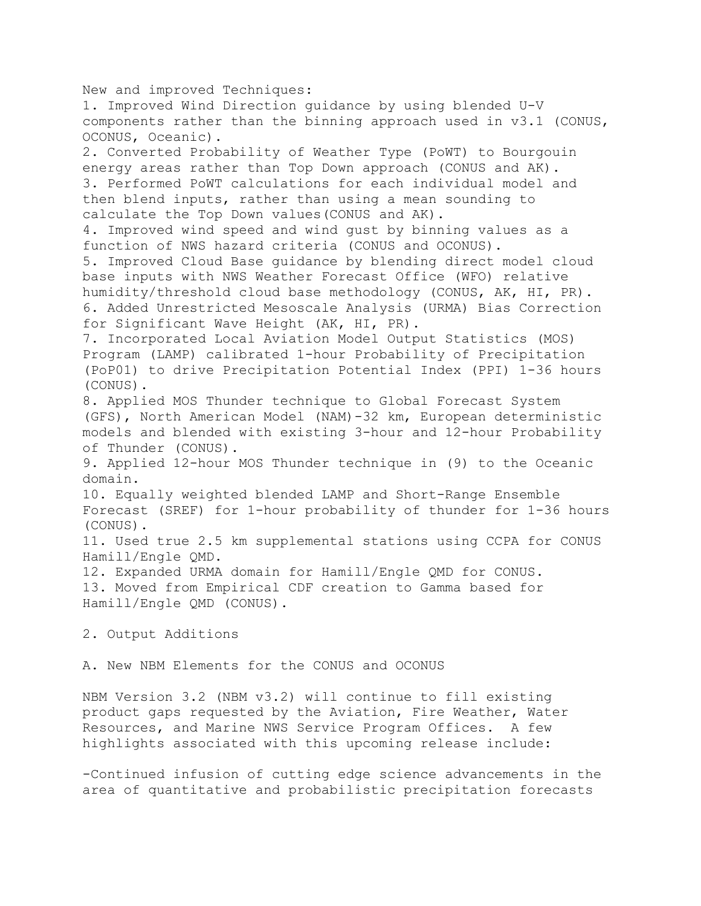New and improved Techniques: 1. Improved Wind Direction guidance by using blended U-V components rather than the binning approach used in v3.1 (CONUS, OCONUS, Oceanic). 2. Converted Probability of Weather Type (PoWT) to Bourgouin energy areas rather than Top Down approach (CONUS and AK). 3. Performed PoWT calculations for each individual model and then blend inputs, rather than using a mean sounding to calculate the Top Down values(CONUS and AK). 4. Improved wind speed and wind gust by binning values as a function of NWS hazard criteria (CONUS and OCONUS). 5. Improved Cloud Base guidance by blending direct model cloud base inputs with NWS Weather Forecast Office (WFO) relative humidity/threshold cloud base methodology (CONUS, AK, HI, PR). 6. Added Unrestricted Mesoscale Analysis (URMA) Bias Correction for Significant Wave Height (AK, HI, PR). 7. Incorporated Local Aviation Model Output Statistics (MOS) Program (LAMP) calibrated 1-hour Probability of Precipitation (PoP01) to drive Precipitation Potential Index (PPI) 1-36 hours (CONUS). 8. Applied MOS Thunder technique to Global Forecast System (GFS), North American Model (NAM)-32 km, European deterministic models and blended with existing 3-hour and 12-hour Probability of Thunder (CONUS). 9. Applied 12-hour MOS Thunder technique in (9) to the Oceanic domain. 10. Equally weighted blended LAMP and Short-Range Ensemble Forecast (SREF) for 1-hour probability of thunder for 1-36 hours (CONUS). 11. Used true 2.5 km supplemental stations using CCPA for CONUS Hamill/Engle QMD. 12. Expanded URMA domain for Hamill/Engle QMD for CONUS. 13. Moved from Empirical CDF creation to Gamma based for Hamill/Engle QMD (CONUS). 2. Output Additions

A. New NBM Elements for the CONUS and OCONUS

NBM Version 3.2 (NBM v3.2) will continue to fill existing product gaps requested by the Aviation, Fire Weather, Water Resources, and Marine NWS Service Program Offices. A few highlights associated with this upcoming release include:

-Continued infusion of cutting edge science advancements in the area of quantitative and probabilistic precipitation forecasts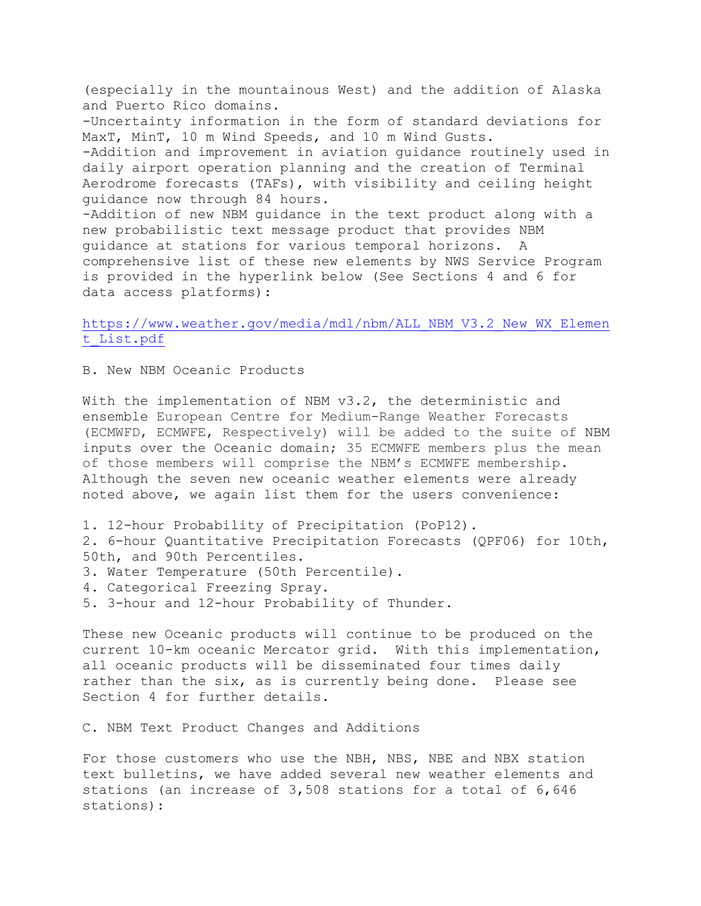(especially in the mountainous West) and the addition of Alaska and Puerto Rico domains. -Uncertainty information in the form of standard deviations for MaxT, MinT, 10 m Wind Speeds, and 10 m Wind Gusts. -Addition and improvement in aviation guidance routinely used in daily airport operation planning and the creation of Terminal Aerodrome forecasts (TAFs), with visibility and ceiling height guidance now through 84 hours. -Addition of new NBM guidance in the text product along with a new probabilistic text message product that provides NBM guidance at stations for various temporal horizons. A comprehensive list of these new elements by NWS Service Program is provided in the hyperlink below (See Sections 4 and 6 for data access platforms):

## [https://www.weather.gov/media/mdl/nbm/ALL\\_NBM\\_V3.2\\_New\\_WX\\_Elemen](https://www.weather.gov/media/mdl/nbm/ALL_NBM_V3.2_New_WX_Element_List.pdf) [t\\_List.pdf](https://www.weather.gov/media/mdl/nbm/ALL_NBM_V3.2_New_WX_Element_List.pdf)

B. New NBM Oceanic Products

With the implementation of NBM v3.2, the deterministic and ensemble European Centre for Medium-Range Weather Forecasts (ECMWFD, ECMWFE, Respectively) will be added to the suite of NBM inputs over the Oceanic domain; 35 ECMWFE members plus the mean of those members will comprise the NBM's ECMWFE membership. Although the seven new oceanic weather elements were already noted above, we again list them for the users convenience:

1. 12-hour Probability of Precipitation (PoP12). 2. 6-hour Quantitative Precipitation Forecasts (QPF06) for 10th, 50th, and 90th Percentiles. 3. Water Temperature (50th Percentile). 4. Categorical Freezing Spray. 5. 3-hour and 12-hour Probability of Thunder.

These new Oceanic products will continue to be produced on the current 10-km oceanic Mercator grid. With this implementation, all oceanic products will be disseminated four times daily rather than the six, as is currently being done. Please see Section 4 for further details.

C. NBM Text Product Changes and Additions

For those customers who use the NBH, NBS, NBE and NBX station text bulletins, we have added several new weather elements and stations (an increase of 3,508 stations for a total of 6,646 stations):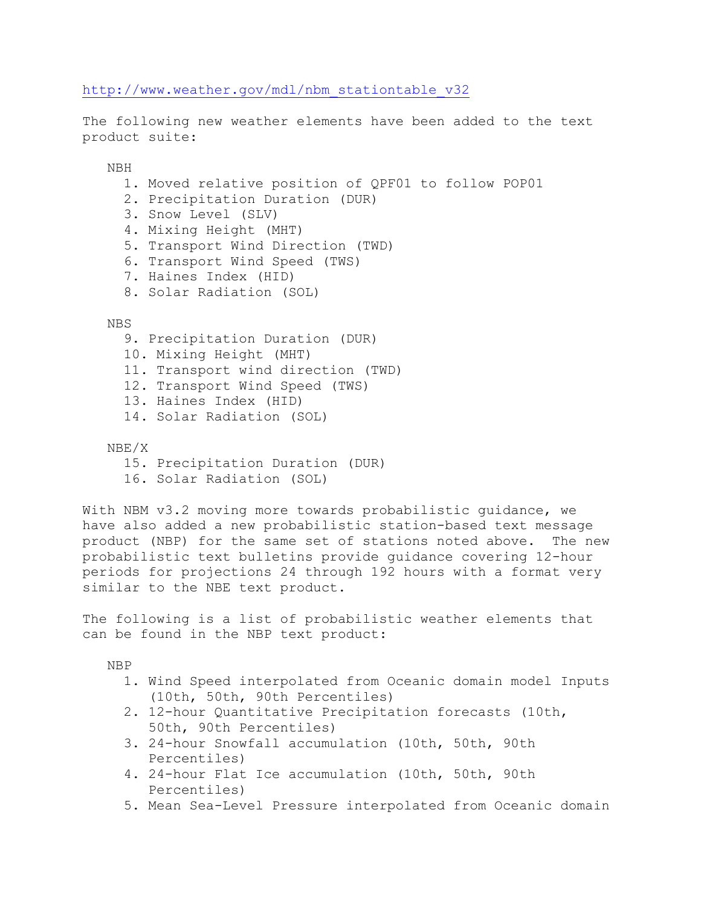[http://www.weather.gov/mdl/nbm\\_stationtable\\_v32](http://www.weather.gov/mdl/nbm_stationtable_v32)

The following new weather elements have been added to the text product suite:

NBH

- 1. Moved relative position of QPF01 to follow POP01
- 2. Precipitation Duration (DUR)
- 3. Snow Level (SLV)
- 4. Mixing Height (MHT)
- 5. Transport Wind Direction (TWD)
- 6. Transport Wind Speed (TWS)
- 7. Haines Index (HID)
- 8. Solar Radiation (SOL)

NBS

- 9. Precipitation Duration (DUR)
- 10. Mixing Height (MHT)
- 11. Transport wind direction (TWD)
- 12. Transport Wind Speed (TWS)
- 13. Haines Index (HID)
- 14. Solar Radiation (SOL)
- NBE/X
	- 15. Precipitation Duration (DUR)
	- 16. Solar Radiation (SOL)

With NBM v3.2 moving more towards probabilistic guidance, we have also added a new probabilistic station-based text message product (NBP) for the same set of stations noted above. The new probabilistic text bulletins provide guidance covering 12-hour periods for projections 24 through 192 hours with a format very similar to the NBE text product.

The following is a list of probabilistic weather elements that can be found in the NBP text product:

NBP

- 1. Wind Speed interpolated from Oceanic domain model Inputs (10th, 50th, 90th Percentiles)
- 2. 12-hour Quantitative Precipitation forecasts (10th, 50th, 90th Percentiles)
- 3. 24-hour Snowfall accumulation (10th, 50th, 90th Percentiles)
- 4. 24-hour Flat Ice accumulation (10th, 50th, 90th Percentiles)
- 5. Mean Sea-Level Pressure interpolated from Oceanic domain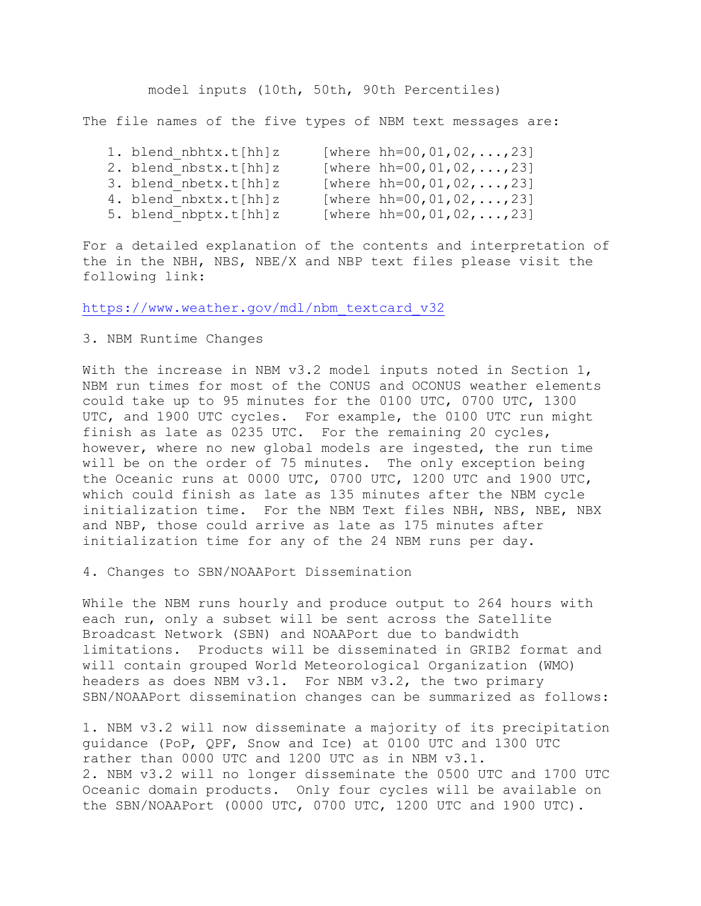model inputs (10th, 50th, 90th Percentiles)

The file names of the five types of NBM text messages are:

|  | 1. blend nbhtx.t[hh]z | [where hh=00,01,02,,23] |
|--|-----------------------|-------------------------|
|  | 2. blend nbstx.t[hh]z | [where hh=00,01,02,,23] |
|  | 3. blend nbetx.t[hh]z | [where hh=00,01,02,,23] |
|  | 4. blend nbxtx.t[hh]z | [where hh=00,01,02,,23] |
|  | 5. blend nbptx.t[hh]z | [where hh=00,01,02,,23] |
|  |                       |                         |

For a detailed explanation of the contents and interpretation of the in the NBH, NBS, NBE/X and NBP text files please visit the following link:

[https://www.weather.gov/mdl/nbm\\_textcard\\_v32](https://www.weather.gov/mdl/nbm_textcard_v32)

## 3. NBM Runtime Changes

With the increase in NBM v3.2 model inputs noted in Section 1, NBM run times for most of the CONUS and OCONUS weather elements could take up to 95 minutes for the 0100 UTC, 0700 UTC, 1300 UTC, and 1900 UTC cycles. For example, the 0100 UTC run might finish as late as 0235 UTC. For the remaining 20 cycles, however, where no new global models are ingested, the run time will be on the order of 75 minutes. The only exception being the Oceanic runs at 0000 UTC, 0700 UTC, 1200 UTC and 1900 UTC, which could finish as late as 135 minutes after the NBM cycle initialization time. For the NBM Text files NBH, NBS, NBE, NBX and NBP, those could arrive as late as 175 minutes after initialization time for any of the 24 NBM runs per day.

4. Changes to SBN/NOAAPort Dissemination

While the NBM runs hourly and produce output to 264 hours with each run, only a subset will be sent across the Satellite Broadcast Network (SBN) and NOAAPort due to bandwidth limitations. Products will be disseminated in GRIB2 format and will contain grouped World Meteorological Organization (WMO) headers as does NBM v3.1. For NBM v3.2, the two primary SBN/NOAAPort dissemination changes can be summarized as follows:

1. NBM v3.2 will now disseminate a majority of its precipitation guidance (PoP, QPF, Snow and Ice) at 0100 UTC and 1300 UTC rather than 0000 UTC and 1200 UTC as in NBM v3.1. 2. NBM v3.2 will no longer disseminate the 0500 UTC and 1700 UTC Oceanic domain products. Only four cycles will be available on the SBN/NOAAPort (0000 UTC, 0700 UTC, 1200 UTC and 1900 UTC).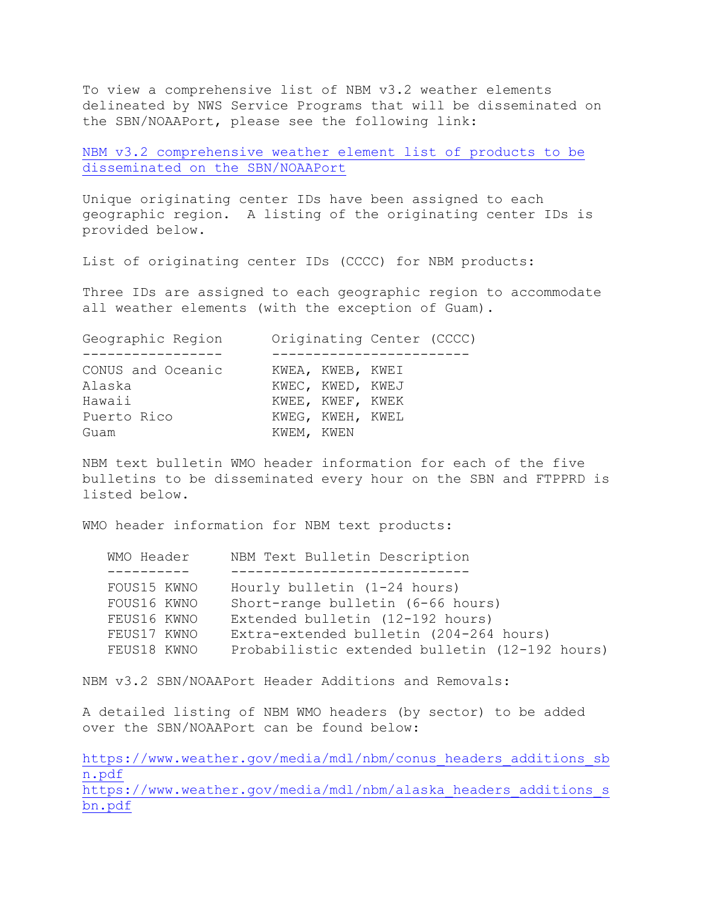To view a comprehensive list of NBM v3.2 weather elements delineated by NWS Service Programs that will be disseminated on the SBN/NOAAPort, please see the following link:

[NBM v3.2 comprehensive weather element list of products to be](https://www.weather.gov/media/mdl/nbm/NBM_V3.2_New_WX_Element_SBN_List.pdf)  [disseminated on the SBN/NOAAPort](https://www.weather.gov/media/mdl/nbm/NBM_V3.2_New_WX_Element_SBN_List.pdf)

Unique originating center IDs have been assigned to each geographic region. A listing of the originating center IDs is provided below.

List of originating center IDs (CCCC) for NBM products:

Three IDs are assigned to each geographic region to accommodate all weather elements (with the exception of Guam).

| Geographic Region |            |                  | Originating Center (CCCC) |  |
|-------------------|------------|------------------|---------------------------|--|
|                   |            |                  |                           |  |
| CONUS and Oceanic |            | KWEA, KWEB, KWEI |                           |  |
| Alaska            |            | KWEC, KWED, KWEJ |                           |  |
| Hawaii            |            | KWEE, KWEF, KWEK |                           |  |
| Puerto Rico       |            | KWEG, KWEH, KWEL |                           |  |
| Guam              | KWEM, KWEN |                  |                           |  |
|                   |            |                  |                           |  |

NBM text bulletin WMO header information for each of the five bulletins to be disseminated every hour on the SBN and FTPPRD is listed below.

WMO header information for NBM text products:

| WMO Header  | NBM Text Bulletin Description                  |  |
|-------------|------------------------------------------------|--|
|             |                                                |  |
| FOUS15 KWNO | Hourly bulletin $(1-24$ hours)                 |  |
| FOUS16 KWNO | Short-range bulletin (6-66 hours)              |  |
| FEUS16 KWNO | Extended bulletin (12-192 hours)               |  |
| FEUS17 KWNO | Extra-extended bulletin (204-264 hours)        |  |
| FEUS18 KWNO | Probabilistic extended bulletin (12-192 hours) |  |
|             |                                                |  |

NBM v3.2 SBN/NOAAPort Header Additions and Removals:

A detailed listing of NBM WMO headers (by sector) to be added over the SBN/NOAAPort can be found below:

[https://www.weather.gov/media/mdl/nbm/conus\\_headers\\_additions\\_sb](https://www.weather.gov/media/mdl/nbm/conus_headers_additions_sbn.pdf) [n.pdf](https://www.weather.gov/media/mdl/nbm/conus_headers_additions_sbn.pdf) https://www.weather.gov/media/mdl/nbm/alaska headers additions s [bn.pdf](https://www.weather.gov/media/mdl/nbm/alaska_headers_additions_sbn.pdf)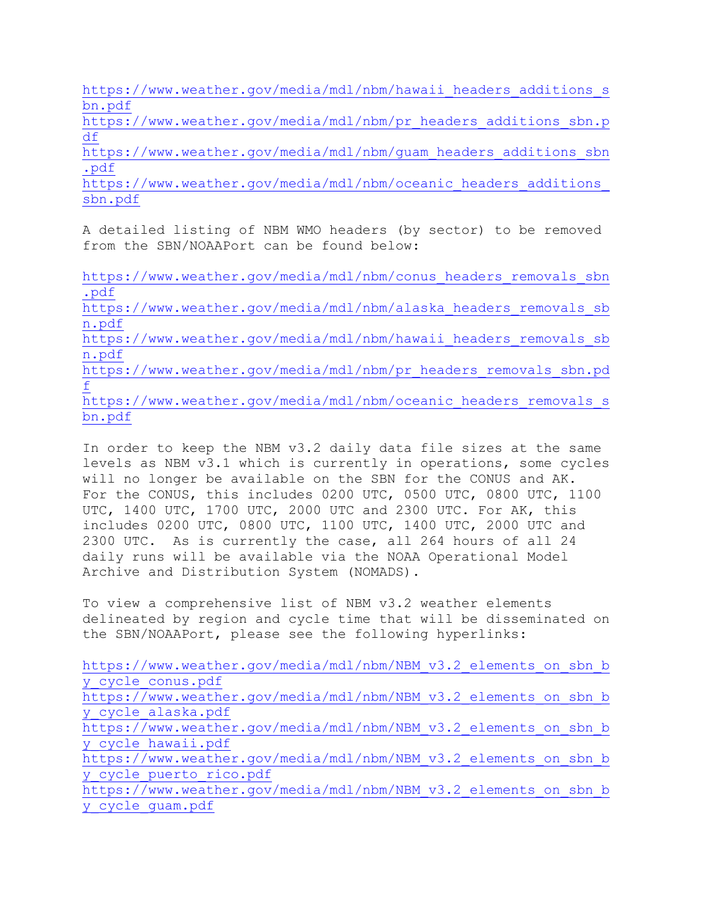https://www.weather.gov/media/mdl/nbm/hawaii headers additions s [bn.pdf](https://www.weather.gov/media/mdl/nbm/hawaii_headers_additions_sbn.pdf)

[https://www.weather.gov/media/mdl/nbm/pr\\_headers\\_additions\\_sbn.p](https://www.weather.gov/media/mdl/nbm/pr_headers_additions_sbn.pdf) [df](https://www.weather.gov/media/mdl/nbm/pr_headers_additions_sbn.pdf)

[https://www.weather.gov/media/mdl/nbm/guam\\_headers\\_additions\\_sbn](https://www.weather.gov/media/mdl/nbm/guam_headers_additions_sbn.pdf) [.pdf](https://www.weather.gov/media/mdl/nbm/guam_headers_additions_sbn.pdf)

https://www.weather.gov/media/mdl/nbm/oceanic\_headers\_additions [sbn.pdf](https://www.weather.gov/media/mdl/nbm/oceanic_headers_additions_sbn.pdf)

A detailed listing of NBM WMO headers (by sector) to be removed from the SBN/NOAAPort can be found below:

[https://www.weather.gov/media/mdl/nbm/conus\\_headers\\_removals\\_sbn](https://www.weather.gov/media/mdl/nbm/conus_headers_removals_sbn.pdf) [.pdf](https://www.weather.gov/media/mdl/nbm/conus_headers_removals_sbn.pdf)

[https://www.weather.gov/media/mdl/nbm/alaska\\_headers\\_removals\\_sb](https://www.weather.gov/media/mdl/nbm/alaska_headers_removals_sbn.pdf) [n.pdf](https://www.weather.gov/media/mdl/nbm/alaska_headers_removals_sbn.pdf)

https://www.weather.gov/media/mdl/nbm/hawaii headers removals sb [n.pdf](https://www.weather.gov/media/mdl/nbm/hawaii_headers_removals_sbn.pdf)

[https://www.weather.gov/media/mdl/nbm/pr\\_headers\\_removals\\_sbn.pd](https://www.weather.gov/media/mdl/nbm/pr_headers_removals_sbn.pdf) [f](https://www.weather.gov/media/mdl/nbm/pr_headers_removals_sbn.pdf)

[https://www.weather.gov/media/mdl/nbm/oceanic\\_headers\\_removals\\_s](https://www.weather.gov/media/mdl/nbm/oceanic_headers_removals_sbn.pdf) [bn.pdf](https://www.weather.gov/media/mdl/nbm/oceanic_headers_removals_sbn.pdf)

In order to keep the NBM v3.2 daily data file sizes at the same levels as NBM v3.1 which is currently in operations, some cycles will no longer be available on the SBN for the CONUS and AK. For the CONUS, this includes 0200 UTC, 0500 UTC, 0800 UTC, 1100 UTC, 1400 UTC, 1700 UTC, 2000 UTC and 2300 UTC. For AK, this includes 0200 UTC, 0800 UTC, 1100 UTC, 1400 UTC, 2000 UTC and 2300 UTC. As is currently the case, all 264 hours of all 24 daily runs will be available via the NOAA Operational Model Archive and Distribution System (NOMADS).

To view a comprehensive list of NBM v3.2 weather elements delineated by region and cycle time that will be disseminated on the SBN/NOAAPort, please see the following hyperlinks:

[https://www.weather.gov/media/mdl/nbm/NBM\\_v3.2\\_elements\\_on\\_sbn\\_b](https://www.weather.gov/media/mdl/nbm/NBM_v3.2_elements_on_sbn_by_cycle_conus.pdf) [y\\_cycle\\_conus.pdf](https://www.weather.gov/media/mdl/nbm/NBM_v3.2_elements_on_sbn_by_cycle_conus.pdf) [https://www.weather.gov/media/mdl/nbm/NBM\\_v3.2\\_elements\\_on\\_sbn\\_b](https://www.weather.gov/media/mdl/nbm/NBM_v3.2_elements_on_sbn_by_cycle_alaska.pdf) [y\\_cycle\\_alaska.pdf](https://www.weather.gov/media/mdl/nbm/NBM_v3.2_elements_on_sbn_by_cycle_alaska.pdf) [https://www.weather.gov/media/mdl/nbm/NBM\\_v3.2\\_elements\\_on\\_sbn\\_b](https://www.weather.gov/media/mdl/nbm/NBM_v3.2_elements_on_sbn_by_cycle_hawaii.pdf) [y\\_cycle\\_hawaii.pdf](https://www.weather.gov/media/mdl/nbm/NBM_v3.2_elements_on_sbn_by_cycle_hawaii.pdf) [https://www.weather.gov/media/mdl/nbm/NBM\\_v3.2\\_elements\\_on\\_sbn\\_b](https://www.weather.gov/media/mdl/nbm/NBM_v3.2_elements_on_sbn_by_cycle_puerto_rico.pdf) [y\\_cycle\\_puerto\\_rico.pdf](https://www.weather.gov/media/mdl/nbm/NBM_v3.2_elements_on_sbn_by_cycle_puerto_rico.pdf) [https://www.weather.gov/media/mdl/nbm/NBM\\_v3.2\\_elements\\_on\\_sbn\\_b](https://www.weather.gov/media/mdl/nbm/NBM_v3.2_elements_on_sbn_by_cycle_guam.pdf) [y\\_cycle\\_guam.pdf](https://www.weather.gov/media/mdl/nbm/NBM_v3.2_elements_on_sbn_by_cycle_guam.pdf)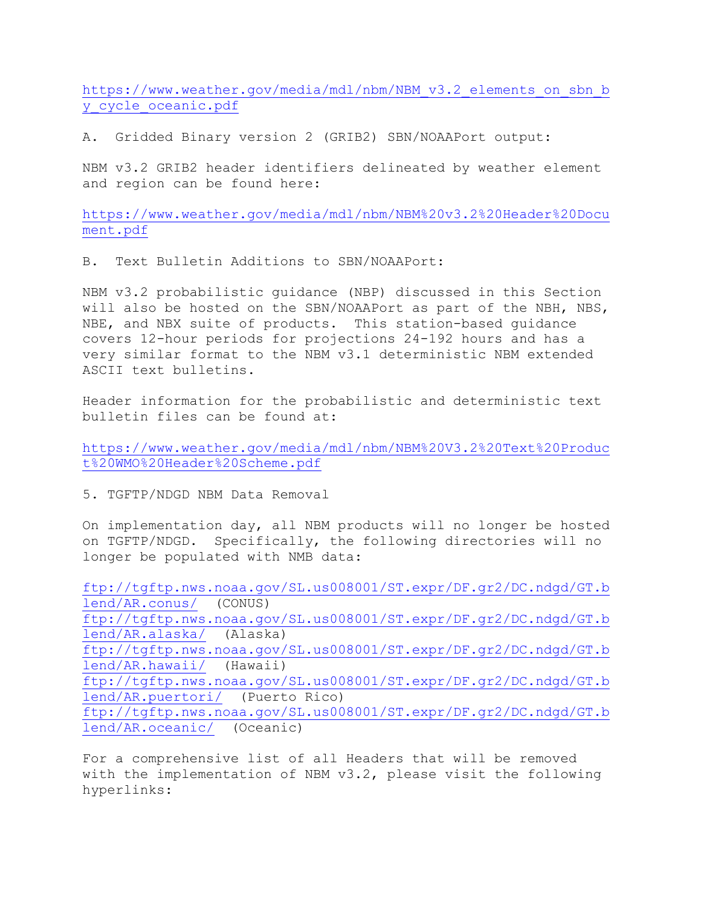[https://www.weather.gov/media/mdl/nbm/NBM\\_v3.2\\_elements\\_on\\_sbn\\_b](https://www.weather.gov/media/mdl/nbm/NBM_v3.2_elements_on_sbn_by_cycle_oceanic.pdf) [y\\_cycle\\_oceanic.pdf](https://www.weather.gov/media/mdl/nbm/NBM_v3.2_elements_on_sbn_by_cycle_oceanic.pdf)

A. Gridded Binary version 2 (GRIB2) SBN/NOAAPort output:

NBM v3.2 GRIB2 header identifiers delineated by weather element and region can be found here:

[https://www.weather.gov/media/mdl/nbm/NBM%20v3.2%20Header%20Docu](https://www.weather.gov/media/mdl/nbm/NBM%20v3.2%20Header%20Document.pdf) [ment.pdf](https://www.weather.gov/media/mdl/nbm/NBM%20v3.2%20Header%20Document.pdf)

B. Text Bulletin Additions to SBN/NOAAPort:

NBM v3.2 probabilistic guidance (NBP) discussed in this Section will also be hosted on the SBN/NOAAPort as part of the NBH, NBS, NBE, and NBX suite of products. This station-based guidance covers 12-hour periods for projections 24-192 hours and has a very similar format to the NBM v3.1 deterministic NBM extended ASCII text bulletins.

Header information for the probabilistic and deterministic text bulletin files can be found at:

[https://www.weather.gov/media/mdl/nbm/NBM%20V3.2%20Text%20Produc](https://www.weather.gov/media/mdl/nbm/NBM%20V3.2%20Text%20Product%20WMO%20Header%20Scheme.pdf) [t%20WMO%20Header%20Scheme.pdf](https://www.weather.gov/media/mdl/nbm/NBM%20V3.2%20Text%20Product%20WMO%20Header%20Scheme.pdf)

5. TGFTP/NDGD NBM Data Removal

On implementation day, all NBM products will no longer be hosted on TGFTP/NDGD. Specifically, the following directories will no longer be populated with NMB data:

[ftp://tgftp.nws.noaa.gov/SL.us008001/ST.expr/DF.gr2/DC.ndgd/GT.b](ftp://tgftp.nws.noaa.gov/SL.us008001/ST.expr/DF.gr2/DC.ndgd/GT.blend/AR.conus/) [lend/AR.conus/](ftp://tgftp.nws.noaa.gov/SL.us008001/ST.expr/DF.gr2/DC.ndgd/GT.blend/AR.conus/) (CONUS) [ftp://tgftp.nws.noaa.gov/SL.us008001/ST.expr/DF.gr2/DC.ndgd/GT.b](ftp://tgftp.nws.noaa.gov/SL.us008001/ST.expr/DF.gr2/DC.ndgd/GT.blend/AR.alaska/) [lend/AR.alaska/](ftp://tgftp.nws.noaa.gov/SL.us008001/ST.expr/DF.gr2/DC.ndgd/GT.blend/AR.alaska/) (Alaska) [ftp://tgftp.nws.noaa.gov/SL.us008001/ST.expr/DF.gr2/DC.ndgd/GT.b](ftp://tgftp.nws.noaa.gov/SL.us008001/ST.expr/DF.gr2/DC.ndgd/GT.blend/AR.hawaii/) [lend/AR.hawaii/](ftp://tgftp.nws.noaa.gov/SL.us008001/ST.expr/DF.gr2/DC.ndgd/GT.blend/AR.hawaii/) (Hawaii) [ftp://tgftp.nws.noaa.gov/SL.us008001/ST.expr/DF.gr2/DC.ndgd/GT.b](ftp://tgftp.nws.noaa.gov/SL.us008001/ST.expr/DF.gr2/DC.ndgd/GT.blend/AR.puertori/) [lend/AR.puertori/](ftp://tgftp.nws.noaa.gov/SL.us008001/ST.expr/DF.gr2/DC.ndgd/GT.blend/AR.puertori/) (Puerto Rico) [ftp://tgftp.nws.noaa.gov/SL.us008001/ST.expr/DF.gr2/DC.ndgd/GT.b](ftp://tgftp.nws.noaa.gov/SL.us008001/ST.expr/DF.gr2/DC.ndgd/GT.blend/AR.oceanic/) [lend/AR.oceanic/](ftp://tgftp.nws.noaa.gov/SL.us008001/ST.expr/DF.gr2/DC.ndgd/GT.blend/AR.oceanic/) (Oceanic)

For a comprehensive list of all Headers that will be removed with the implementation of NBM v3.2, please visit the following hyperlinks: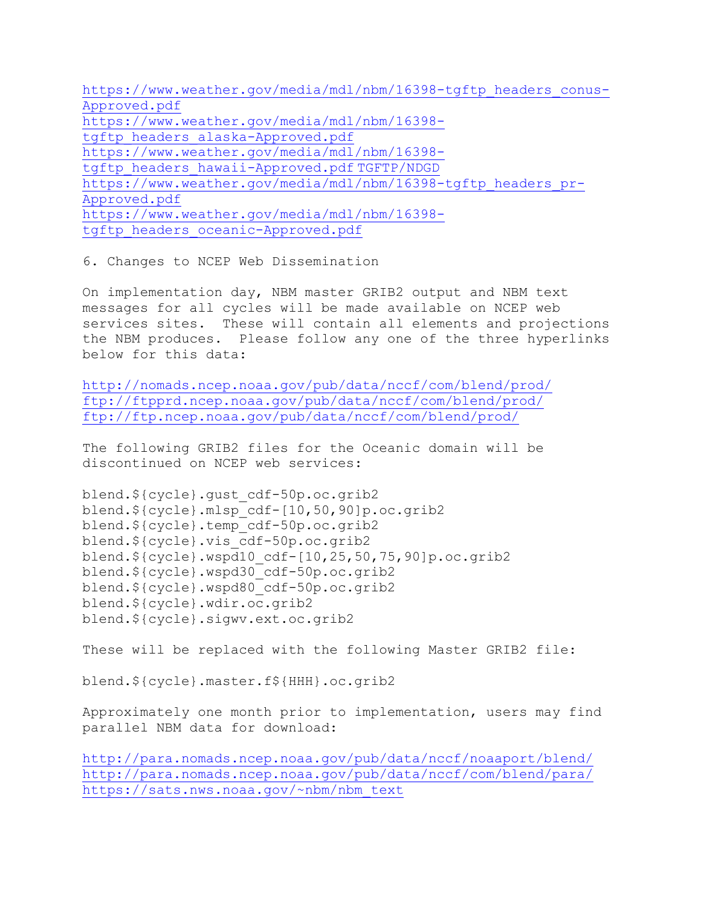[https://www.weather.gov/media/mdl/nbm/16398-tgftp\\_headers\\_conus-](https://www.weather.gov/media/mdl/nbm/16398-tgftp_headers_conus-Approved.pdf)[Approved.pdf](https://www.weather.gov/media/mdl/nbm/16398-tgftp_headers_conus-Approved.pdf) [https://www.weather.gov/media/mdl/nbm/16398](https://www.weather.gov/media/mdl/nbm/16398-tgftp_headers_alaska-Approved.pdf) [tgftp\\_headers\\_alaska-Approved.pdf](https://www.weather.gov/media/mdl/nbm/16398-tgftp_headers_alaska-Approved.pdf) [https://www.weather.gov/media/mdl/nbm/16398](https://www.weather.gov/media/mdl/nbm/16398-tgftp_headers_hawaii-Approved.pdf) [tgftp\\_headers\\_hawaii-Approved.pdf](https://www.weather.gov/media/mdl/nbm/16398-tgftp_headers_hawaii-Approved.pdf) [TGFTP/NDGD](https://www.weather.gov/media/mdl/nbm/16398-tgftp_headers_hawaii-Approved.pdf) [https://www.weather.gov/media/mdl/nbm/16398-tgftp\\_headers\\_pr-](https://www.weather.gov/media/mdl/nbm/16398-tgftp_headers_pr-Approved.pdf)[Approved.pdf](https://www.weather.gov/media/mdl/nbm/16398-tgftp_headers_pr-Approved.pdf) [https://www.weather.gov/media/mdl/nbm/16398](https://www.weather.gov/media/mdl/nbm/16398-tgftp_headers_oceanic-Approved.pdf) [tgftp\\_headers\\_oceanic-Approved.pdf](https://www.weather.gov/media/mdl/nbm/16398-tgftp_headers_oceanic-Approved.pdf)

6. Changes to NCEP Web Dissemination

On implementation day, NBM master GRIB2 output and NBM text messages for all cycles will be made available on NCEP web services sites. These will contain all elements and projections the NBM produces. Please follow any one of the three hyperlinks below for this data:

<http://nomads.ncep.noaa.gov/pub/data/nccf/com/blend/prod/> <ftp://ftpprd.ncep.noaa.gov/pub/data/nccf/com/blend/prod/> <ftp://ftp.ncep.noaa.gov/pub/data/nccf/com/blend/prod/>

The following GRIB2 files for the Oceanic domain will be discontinued on NCEP web services:

blend.\${cycle}.gust\_cdf-50p.oc.grib2 blend.\${cycle}.mlsp\_cdf-[10,50,90]p.oc.grib2 blend.\${cycle}.temp\_cdf-50p.oc.grib2 blend.\${cycle}.vis\_cdf-50p.oc.grib2 blend.\${cycle}.wspd10\_cdf-[10,25,50,75,90]p.oc.grib2 blend.\${cycle}.wspd30\_cdf-50p.oc.grib2 blend.\${cycle}.wspd80\_cdf-50p.oc.grib2 blend.\${cycle}.wdir.oc.grib2 blend.\${cycle}.sigwv.ext.oc.grib2

These will be replaced with the following Master GRIB2 file:

blend.\${cycle}.master.f\${HHH}.oc.grib2

Approximately one month prior to implementation, users may find parallel NBM data for download:

<http://para.nomads.ncep.noaa.gov/pub/data/nccf/noaaport/blend/> <http://para.nomads.ncep.noaa.gov/pub/data/nccf/com/blend/para/> [https://sats.nws.noaa.gov/~nbm/nbm\\_text](https://sats.nws.noaa.gov/%7Enbm/nbm_text)